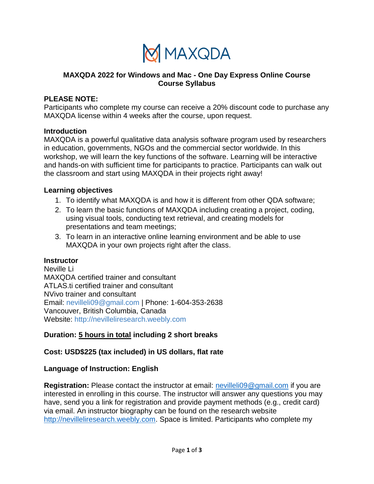

### **MAXQDA 2022 for Windows and Mac - One Day Express Online Course Course Syllabus**

### **PLEASE NOTE:**

Participants who complete my course can receive a 20% discount code to purchase any MAXQDA license within 4 weeks after the course, upon request.

#### **Introduction**

MAXQDA is a powerful qualitative data analysis software program used by researchers in education, governments, NGOs and the commercial sector worldwide. In this workshop, we will learn the key functions of the software. Learning will be interactive and hands-on with sufficient time for participants to practice. Participants can walk out the classroom and start using MAXQDA in their projects right away!

#### **Learning objectives**

- 1. To identify what MAXQDA is and how it is different from other QDA software;
- 2. To learn the basic functions of MAXQDA including creating a project, coding, using visual tools, conducting text retrieval, and creating models for presentations and team meetings;
- 3. To learn in an interactive online learning environment and be able to use MAXQDA in your own projects right after the class.

### **Instructor**

Neville Li MAXQDA certified trainer and consultant ATLAS.ti certified trainer and consultant NVivo trainer and consultant Email: [nevilleli09@gmail.com](mailto:nevilleli09@gmail.com) | Phone: 1-604-353-2638 Vancouver, British Columbia, Canada Website: [http://nevilleliresearch.weebly.com](http://nevilleliresearch.weebly.com/)

# **Duration: 5 hours in total including 2 short breaks**

### **Cost: USD\$225 (tax included) in US dollars, flat rate**

### **Language of Instruction: English**

**Registration:** Please contact the instructor at email: [nevilleli09@gmail.com](mailto:nevilleli09@gmail.com) if you are interested in enrolling in this course. The instructor will answer any questions you may have, send you a link for registration and provide payment methods (e.g., credit card) via email. An instructor biography can be found on the research website [http://nevilleliresearch.weebly.com.](http://nevilleliresearch.weebly.com/) Space is limited. Participants who complete my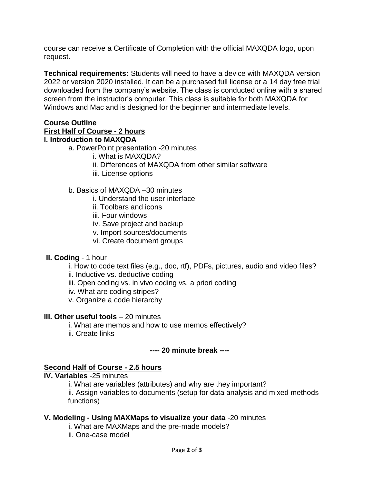course can receive a Certificate of Completion with the official MAXQDA logo, upon request.

**Technical requirements:** Students will need to have a device with MAXQDA version 2022 or version 2020 installed. It can be a purchased full license or a 14 day free trial downloaded from the company's website. The class is conducted online with a shared screen from the instructor's computer. This class is suitable for both MAXQDA for Windows and Mac and is designed for the beginner and intermediate levels.

# **Course Outline First Half of Course - 2 hours**

### **I. Introduction to MAXQDA**

- a. PowerPoint presentation -20 minutes
	- i. What is MAXQDA?
	- ii. Differences of MAXQDA from other similar software
	- iii. License options
- b. Basics of MAXQDA –30 minutes
	- i. Understand the user interface
	- ii. Toolbars and icons
	- iii. Four windows
	- iv. Save project and backup
	- v. Import sources/documents
	- vi. Create document groups

# **II. Coding** - 1 hour

i. How to code text files (e.g., doc, rtf), PDFs, pictures, audio and video files?

- ii. Inductive vs. deductive coding
- iii. Open coding vs. in vivo coding vs. a priori coding
- iv. What are coding stripes?
- v. Organize a code hierarchy

### **III. Other useful tools – 20 minutes**

- i. What are memos and how to use memos effectively?
- ii. Create links

# **---- 20 minute break ----**

# **Second Half of Course - 2.5 hours**

### **IV. Variables** -25 minutes

 i. What are variables (attributes) and why are they important? ii. Assign variables to documents (setup for data analysis and mixed methods functions)

# **V. Modeling - Using MAXMaps to visualize your data** -20 minutes

i. What are MAXMaps and the pre-made models?

ii. One-case model